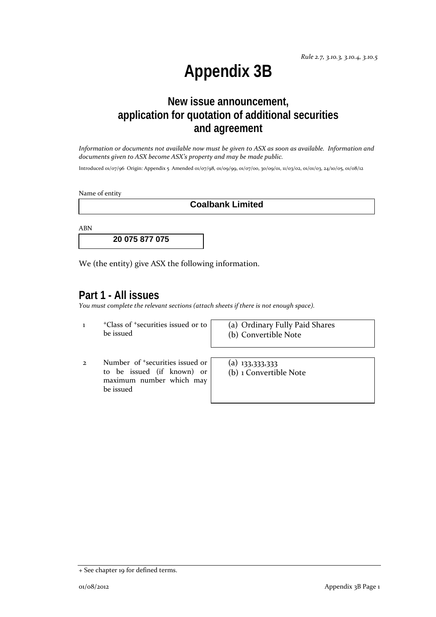# **Appendix 3B**

# **New issue announcement, application for quotation of additional securities and agreement**

Information or documents not available now must be given to ASX as soon as available. Information and *documents given to ASX become ASX's property and may be made public.*

Introduced 01/07/96 Origin: Appendix 5 Amended 01/07/98, 01/09/99, 01/07/00, 30/09/01, 11/03/02, 01/01/03, 24/10/05, 01/08/12

Name of entity

**Coalbank Limited** 

ABN

**20 075 877 075** 

We (the entity) give ASX the following information.

#### **Part 1 - All issues**

*You must complete the relevant sections (attach sheets if there is not enough space).*

1 +Class of +securities issued or to be issued

(a) Ordinary Fully Paid Shares (b) Convertible Note

2 Number of +securities issued or to be issued (if known) or maximum number which may be issued

 $(a)$  133,333,333 (b) 1 Convertible Note

<sup>+</sup> See chapter 19 for defined terms.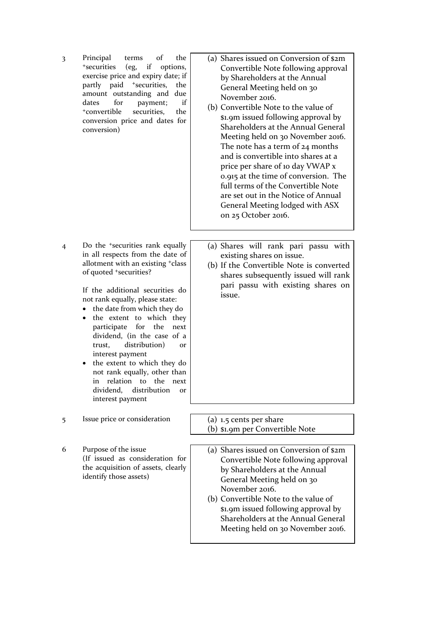3 Principal terms of the +securities (eg, if options, exercise price and expiry date; if partly paid <sup>+</sup>securities, the amount outstanding and due dates for payment; if +convertible securities, the conversion price and dates for conversion)

4 Do the +securities rank equally in all respects from the date of allotment with an existing +class of quoted +securities?

> If the additional securities do not rank equally, please state:

- the date from which they do
- the extent to which they participate for the next dividend, (in the case of a trust, distribution) or interest payment
- the extent to which they do not rank equally, other than in relation to the next dividend, distribution or interest payment
- 5 Issue price or consideration (a) 1.5 cents per share
- 6 Purpose of the issue (If issued as consideration for the acquisition of assets, clearly identify those assets)
- (a) Shares issued on Conversion of \$2m Convertible Note following approval by Shareholders at the Annual General Meeting held on 30 November 2016.
- (b) Convertible Note to the value of \$1.9m issued following approval by Shareholders at the Annual General Meeting held on 30 November 2016. The note has a term of 24 months and is convertible into shares at a price per share of 10 day VWAP x 0.915 at the time of conversion. The full terms of the Convertible Note are set out in the Notice of Annual General Meeting lodged with ASX on 25 October 2016.
- (a) Shares will rank pari passu with existing shares on issue.
- (b) If the Convertible Note is converted shares subsequently issued will rank pari passu with existing shares on issue.

- (b) \$1.9m per Convertible Note
	- (a) Shares issued on Conversion of \$2m Convertible Note following approval by Shareholders at the Annual General Meeting held on 30 November 2016.
	- (b) Convertible Note to the value of \$1.9m issued following approval by Shareholders at the Annual General Meeting held on 30 November 2016.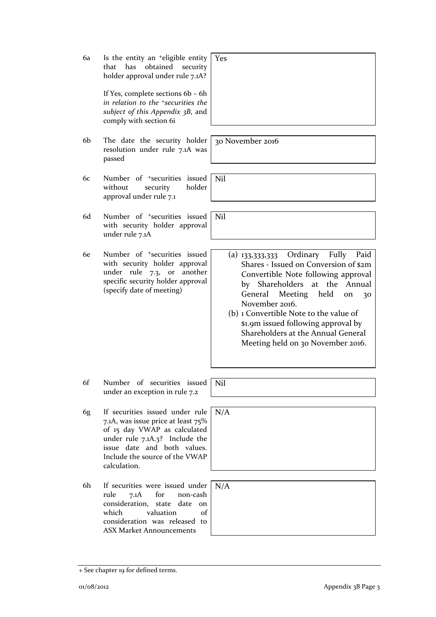6a Is the entity an +eligible entity that has obtained security holder approval under rule 7.1A?

> If Yes, complete sections 6b – 6h *in relation to the +securities the subject of this Appendix 3B*, and comply with section 6i

- 6b The date the security holder resolution under rule 7.1A was passed
- 6c Number of +securities issued without security holder approval under rule 7.1
- 6d Number of +securities issued with security holder approval under rule 7.1A
- 6e Number of +securities issued with security holder approval under rule 7.3, or another specific security holder approval (specify date of meeting)

- 6f Number of securities issued under an exception in rule 7.2
- 6g If securities issued under rule 7.1A, was issue price at least 75% of 15 day VWAP as calculated under rule 7.1A.3? Include the issue date and both values. Include the source of the VWAP calculation.
- 6h If securities were issued under rule 7.1A for non-cash consideration, state date on which valuation of consideration was released to ASX Market Announcements

+ See chapter 19 for defined terms.

30 November 2016

Nil

Yes

Nil

- (a) 133,333,333 Ordinary Fully Paid Shares ‐ Issued on Conversion of \$2m Convertible Note following approval by Shareholders at the Annual General Meeting held on 30 November 2016.
- (b) 1 Convertible Note to the value of \$1.9m issued following approval by Shareholders at the Annual General Meeting held on 30 November 2016.

N/A

Nil

N/A

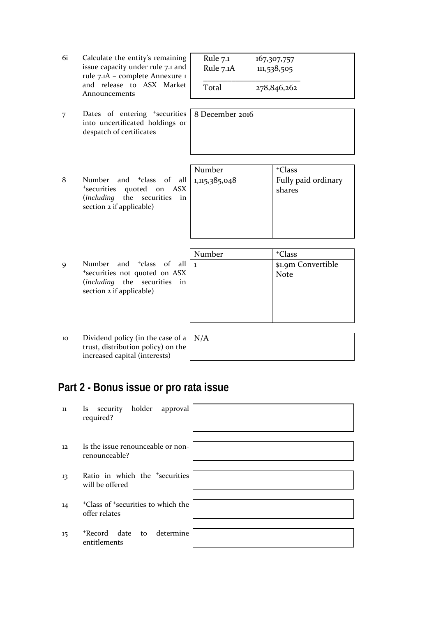| 6i. | Calculate the entity's remaining  |  |  |
|-----|-----------------------------------|--|--|
|     | issue capacity under rule 7.1 and |  |  |
|     | rule 7.1A - complete Annexure 1   |  |  |
|     | and release to ASX Market         |  |  |
|     | Announcements                     |  |  |

7 Dates of entering <sup>+</sup>securities into uncertificated holdings or despatch of certificates

| Rule 7.1<br>Rule 7.1A | 167,307,757<br>111,538,505 |  |
|-----------------------|----------------------------|--|
| Total                 | 278,846,262                |  |

| 8 December 2016 |  |  |
|-----------------|--|--|
|                 |  |  |
|                 |  |  |
|                 |  |  |

|   |                                                                                       | Number | <sup>+</sup> Class            |
|---|---------------------------------------------------------------------------------------|--------|-------------------------------|
| 8 | *securities quoted on ASX<br>(including the securities in<br>section 2 if applicable) |        | Fully paid ordinary<br>shares |
|   |                                                                                       |        |                               |

|   |                                     | Number | <sup>+</sup> Class |
|---|-------------------------------------|--------|--------------------|
| Q | Number and $\pm$ class of all $\pm$ |        | \$1.9m Convertible |
|   | *securities not quoted on ASX       |        | <b>Note</b>        |
|   | (including the securities in        |        |                    |
|   | section 2 if applicable)            |        |                    |
|   |                                     |        |                    |
|   |                                     |        |                    |
|   |                                     |        |                    |
|   |                                     |        |                    |

10 Dividend policy (in the case of a trust, distribution policy) on the increased capital (interests) N/A

# **Part 2 - Bonus issue or pro rata issue**

| 11 | Is security holder approval<br>required?                                    |
|----|-----------------------------------------------------------------------------|
| 12 | Is the issue renounceable or non-<br>renounceable?                          |
| 13 | Ratio in which the <sup>+</sup> securities<br>will be offered               |
| 14 | <sup>+</sup> Class of <sup>+</sup> securities to which the<br>offer relates |
| 15 | *Record date to determine<br>entitlements                                   |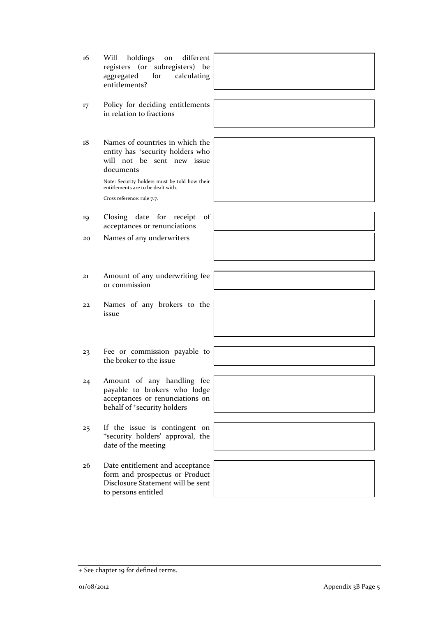- 16 Will holdings on different registers (or subregisters) be aggregated for calculating entitlements?
- 17 Policy for deciding entitlements in relation to fractions
- 18 Names of countries in which the entity has <sup>+</sup>security holders who will not be sent new issue documents

Note: Security holders must be told how their entitlements are to be dealt with. Cross reference: rule 7.7.

- 19 Closing date for receipt of acceptances or renunciations
- 20 Names of any underwriters
- 21 Amount of any underwriting fee or commission
- 22 Names of any brokers to the issue
- 23 Fee or commission payable to the broker to the issue
- 24 Amount of any handling fee payable to brokers who lodge acceptances or renunciations on behalf of <sup>+</sup>security holders
- 25 If the issue is contingent on <sup>+</sup>security holders' approval, the date of the meeting
- 26 Date entitlement and acceptance form and prospectus or Product Disclosure Statement will be sent to persons entitled

+ See chapter 19 for defined terms.

o1/08/2012 **Appendix 3B Page 5**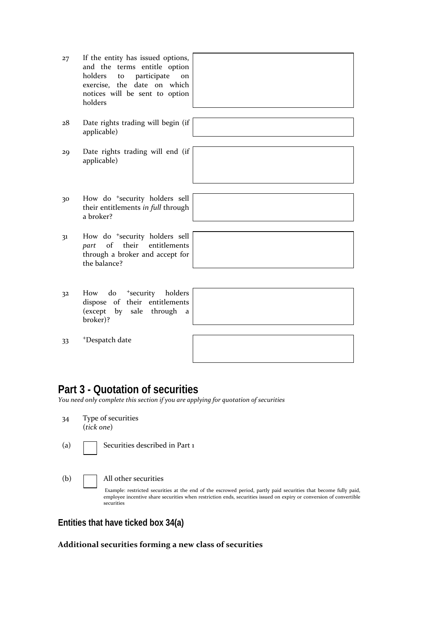| 27 | If the entity has issued options,<br>and the terms entitle option<br>holders<br>participate<br>to<br><sub>on</sub><br>exercise, the date on which<br>notices will be sent to option<br>holders |
|----|------------------------------------------------------------------------------------------------------------------------------------------------------------------------------------------------|
|    |                                                                                                                                                                                                |
| 28 | Date rights trading will begin (if<br>applicable)                                                                                                                                              |
|    |                                                                                                                                                                                                |
| 29 | Date rights trading will end (if<br>applicable)                                                                                                                                                |
|    |                                                                                                                                                                                                |
|    |                                                                                                                                                                                                |
| 30 | How do <sup>+</sup> security holders sell<br>their entitlements in full through<br>a broker?                                                                                                   |
|    |                                                                                                                                                                                                |
| 31 | How do <sup>+</sup> security holders sell<br>of<br>their<br>entitlements<br>part<br>through a broker and accept for<br>the balance?                                                            |
|    |                                                                                                                                                                                                |
| 32 | do <sup>+</sup> security<br>holders<br>How<br>dispose of their entitlements<br>(except by sale through<br>a                                                                                    |

33 +Despatch date

broker)?

## **Part 3 - Quotation of securities**

*You need only complete this section if you are applying for quotation of securities*

- 34 Type of securities (*tick one*)
- (a) **Securities described in Part 1**

#### (b) All other securities

Example: restricted securities at the end of the escrowed period, partly paid securities that become fully paid, employee incentive share securities when restriction ends, securities issued on expiry or conversion of convertible securities

#### **Entities that have ticked box 34(a)**

#### **Additional securities forming a new class of securities**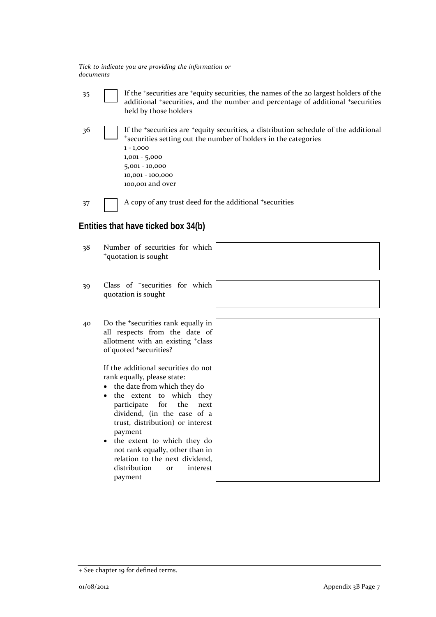*Tick to indicate you are providing the information or documents*

35 If the +securities are +equity securities, the names of the 20 largest holders of the additional <sup>+</sup>securities, and the number and percentage of additional <sup>+</sup>securities held by those holders

| 36 | If the *securities are *equity securities, a distribution schedule of the additional<br>*securities setting out the number of holders in the categories<br>$1 - 1,000$<br>$1,001 - 5,000$<br>$5,001 - 10,000$<br>$10,001 - 100,000$ |
|----|-------------------------------------------------------------------------------------------------------------------------------------------------------------------------------------------------------------------------------------|
|    | 100,001 and over                                                                                                                                                                                                                    |
|    |                                                                                                                                                                                                                                     |

37 A copy of any trust deed for the additional +securities

### **Entities that have ticked box 34(b)**

| 38 | Number of securities for which<br><sup>+</sup> quotation is sought                                                                                                                                                                                         |  |
|----|------------------------------------------------------------------------------------------------------------------------------------------------------------------------------------------------------------------------------------------------------------|--|
| 39 | Class of <sup>+</sup> securities for which<br>quotation is sought                                                                                                                                                                                          |  |
| 40 | Do the <sup>+</sup> securities rank equally in<br>all respects from the date of<br>allotment with an existing <sup>+</sup> class<br>of quoted <sup>+</sup> securities?                                                                                     |  |
|    | If the additional securities do not<br>rank equally, please state:<br>the date from which they do<br>the extent to which they<br>$\bullet$<br>participate for<br>the<br>next<br>dividend, (in the case of a<br>trust, distribution) or interest<br>payment |  |
|    | the extent to which they do<br>not rank equally, other than in<br>relation to the next dividend,<br>distribution<br>interest<br><b>Or</b>                                                                                                                  |  |

payment

<sup>+</sup> See chapter 19 for defined terms.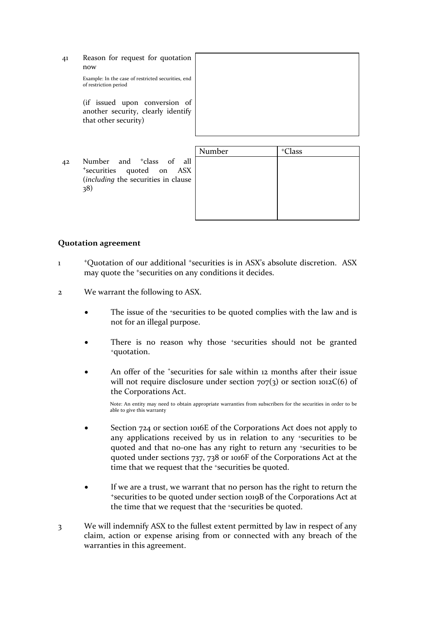41 Reason for request for quotation now

> Example: In the case of restricted securities, end of restriction period

> (if issued upon conversion of another security, clearly identify that other security)

|    |                                                                                                                 | Number | <sup>+</sup> Class |
|----|-----------------------------------------------------------------------------------------------------------------|--------|--------------------|
| 42 | Number and <sup>+</sup> class of all<br>*securities quoted on ASX<br>(including the securities in clause<br>38) |        |                    |

#### **Quotation agreement**

- 1 <sup>+</sup>Quotation of our additional <sup>+</sup>securities is in ASX's absolute discretion. ASX may quote the <sup>+</sup>securities on any conditions it decides.
- 2 We warrant the following to ASX.
	- The issue of the +securities to be quoted complies with the law and is not for an illegal purpose.
	- There is no reason why those +securities should not be granted +quotation.
	- An offer of the *\*securities* for sale within 12 months after their issue will not require disclosure under section  $707(3)$  or section  $1012C(6)$  of the Corporations Act.

Note: An entity may need to obtain appropriate warranties from subscribers for the securities in order to be able to give this warranty

- Section 724 or section 1016E of the Corporations Act does not apply to any applications received by us in relation to any +securities to be quoted and that no‐one has any right to return any +securities to be quoted under sections 737, 738 or 1016F of the Corporations Act at the time that we request that the <sup>+</sup>securities be quoted.
- If we are a trust, we warrant that no person has the right to return the <sup>+</sup>securities to be quoted under section 1019B of the Corporations Act at the time that we request that the +securities be quoted.
- 3 We will indemnify ASX to the fullest extent permitted by law in respect of any claim, action or expense arising from or connected with any breach of the warranties in this agreement.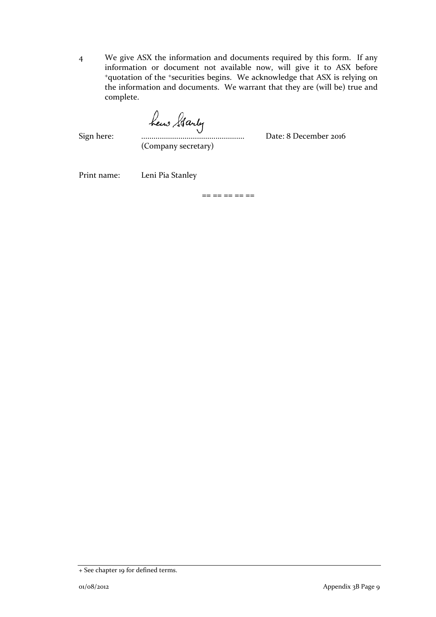4 We give ASX the information and documents required by this form. If any information or document not available now, will give it to ASX before <sup>+</sup>quotation of the <sup>+</sup>securities begins. We acknowledge that ASX is relying on the information and documents. We warrant that they are (will be) true and complete.

Sign here: .................................................. Date: 8 December 2016

(Company secretary)

Print name: Leni Pia Stanley

 $== == == == ==$ 

<sup>+</sup> See chapter 19 for defined terms.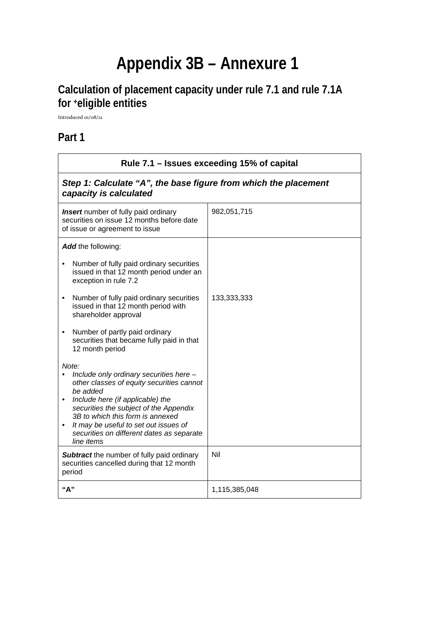# **Appendix 3B – Annexure 1**

# **Calculation of placement capacity under rule 7.1 and rule 7.1A for +eligible entities**

Introduced 01/08/12

# **Part 1**

| Rule 7.1 - Issues exceeding 15% of capital                                                                                                                                                                                                                                                                                      |               |  |
|---------------------------------------------------------------------------------------------------------------------------------------------------------------------------------------------------------------------------------------------------------------------------------------------------------------------------------|---------------|--|
| Step 1: Calculate "A", the base figure from which the placement<br>capacity is calculated                                                                                                                                                                                                                                       |               |  |
| <b>Insert</b> number of fully paid ordinary<br>securities on issue 12 months before date<br>of issue or agreement to issue                                                                                                                                                                                                      | 982,051,715   |  |
| <b>Add</b> the following:                                                                                                                                                                                                                                                                                                       |               |  |
| Number of fully paid ordinary securities<br>issued in that 12 month period under an<br>exception in rule 7.2                                                                                                                                                                                                                    |               |  |
| Number of fully paid ordinary securities<br>$\bullet$<br>issued in that 12 month period with<br>shareholder approval                                                                                                                                                                                                            | 133,333,333   |  |
| Number of partly paid ordinary<br>securities that became fully paid in that<br>12 month period                                                                                                                                                                                                                                  |               |  |
| Note:<br>Include only ordinary securities here -<br>other classes of equity securities cannot<br>be added<br>Include here (if applicable) the<br>securities the subject of the Appendix<br>3B to which this form is annexed<br>It may be useful to set out issues of<br>securities on different dates as separate<br>line items |               |  |
| <b>Subtract</b> the number of fully paid ordinary<br>securities cancelled during that 12 month<br>period                                                                                                                                                                                                                        | Nil           |  |
| "A"                                                                                                                                                                                                                                                                                                                             | 1,115,385,048 |  |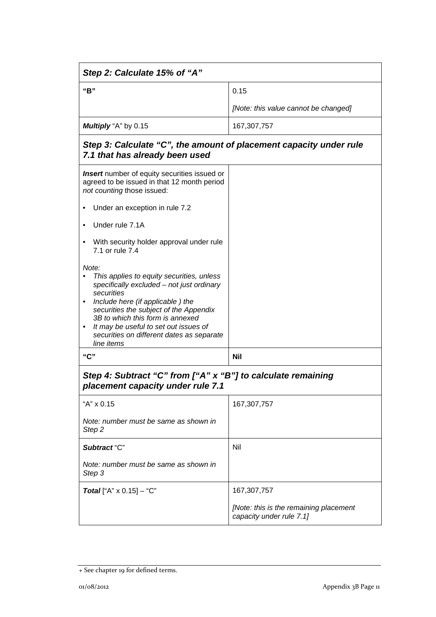| Step 2: Calculate 15% of "A"                                                                                                                                                                                                                                                                                                                     |                                                                    |  |
|--------------------------------------------------------------------------------------------------------------------------------------------------------------------------------------------------------------------------------------------------------------------------------------------------------------------------------------------------|--------------------------------------------------------------------|--|
| "B"                                                                                                                                                                                                                                                                                                                                              | 0.15                                                               |  |
|                                                                                                                                                                                                                                                                                                                                                  | [Note: this value cannot be changed]                               |  |
| Multiply "A" by 0.15                                                                                                                                                                                                                                                                                                                             | 167,307,757                                                        |  |
| Step 3: Calculate "C", the amount of placement capacity under rule<br>7.1 that has already been used                                                                                                                                                                                                                                             |                                                                    |  |
| <b>Insert</b> number of equity securities issued or<br>agreed to be issued in that 12 month period<br>not counting those issued:                                                                                                                                                                                                                 |                                                                    |  |
| Under an exception in rule 7.2                                                                                                                                                                                                                                                                                                                   |                                                                    |  |
| Under rule 7.1A                                                                                                                                                                                                                                                                                                                                  |                                                                    |  |
| With security holder approval under rule<br>7.1 or rule 7.4                                                                                                                                                                                                                                                                                      |                                                                    |  |
| Note:<br>This applies to equity securities, unless<br>specifically excluded - not just ordinary<br>securities<br>Include here (if applicable) the<br>$\bullet$<br>securities the subject of the Appendix<br>3B to which this form is annexed<br>It may be useful to set out issues of<br>securities on different dates as separate<br>line items |                                                                    |  |
| "C"                                                                                                                                                                                                                                                                                                                                              | <b>Nil</b>                                                         |  |
| Step 4: Subtract "C" from ["A" x "B"] to calculate remaining<br>placement capacity under rule 7.1                                                                                                                                                                                                                                                |                                                                    |  |
| "A" x 0.15                                                                                                                                                                                                                                                                                                                                       | 167,307,757                                                        |  |
| Note: number must be same as shown in<br>Step <sub>2</sub>                                                                                                                                                                                                                                                                                       |                                                                    |  |
| Subtract "C"                                                                                                                                                                                                                                                                                                                                     | Nil                                                                |  |
| Note: number must be same as shown in<br>Step 3                                                                                                                                                                                                                                                                                                  |                                                                    |  |
| <b>Total</b> ["A" $\times$ 0.15] - "C"                                                                                                                                                                                                                                                                                                           | 167,307,757                                                        |  |
|                                                                                                                                                                                                                                                                                                                                                  | [Note: this is the remaining placement<br>capacity under rule 7.1] |  |

<sup>+</sup> See chapter 19 for defined terms.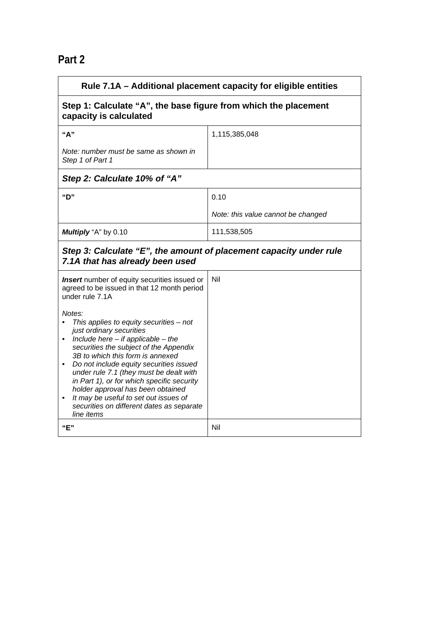| ×<br>٩ |  |
|--------|--|
|--------|--|

| Rule 7.1A – Additional placement capacity for eligible entities                                                                                                                                                                                                                                                                                                                                                                                                                                                                                                                                                    |                                    |  |
|--------------------------------------------------------------------------------------------------------------------------------------------------------------------------------------------------------------------------------------------------------------------------------------------------------------------------------------------------------------------------------------------------------------------------------------------------------------------------------------------------------------------------------------------------------------------------------------------------------------------|------------------------------------|--|
| Step 1: Calculate "A", the base figure from which the placement<br>capacity is calculated                                                                                                                                                                                                                                                                                                                                                                                                                                                                                                                          |                                    |  |
| "A"                                                                                                                                                                                                                                                                                                                                                                                                                                                                                                                                                                                                                | 1,115,385,048                      |  |
| Note: number must be same as shown in<br>Step 1 of Part 1                                                                                                                                                                                                                                                                                                                                                                                                                                                                                                                                                          |                                    |  |
| Step 2: Calculate 10% of "A"                                                                                                                                                                                                                                                                                                                                                                                                                                                                                                                                                                                       |                                    |  |
| "D"                                                                                                                                                                                                                                                                                                                                                                                                                                                                                                                                                                                                                | 0.10                               |  |
|                                                                                                                                                                                                                                                                                                                                                                                                                                                                                                                                                                                                                    | Note: this value cannot be changed |  |
| Multiply "A" by 0.10                                                                                                                                                                                                                                                                                                                                                                                                                                                                                                                                                                                               | 111,538,505                        |  |
| Step 3: Calculate "E", the amount of placement capacity under rule<br>7.1A that has already been used                                                                                                                                                                                                                                                                                                                                                                                                                                                                                                              |                                    |  |
| <b>Insert</b> number of equity securities issued or<br>agreed to be issued in that 12 month period<br>under rule 7.1A<br>Notes:<br>This applies to equity securities $-$ not<br>just ordinary securities<br>Include here $-$ if applicable $-$ the<br>securities the subject of the Appendix<br>3B to which this form is annexed<br>Do not include equity securities issued<br>٠<br>under rule 7.1 (they must be dealt with<br>in Part 1), or for which specific security<br>holder approval has been obtained<br>It may be useful to set out issues of<br>securities on different dates as separate<br>line items | Nil                                |  |
| "E"                                                                                                                                                                                                                                                                                                                                                                                                                                                                                                                                                                                                                | Nil                                |  |